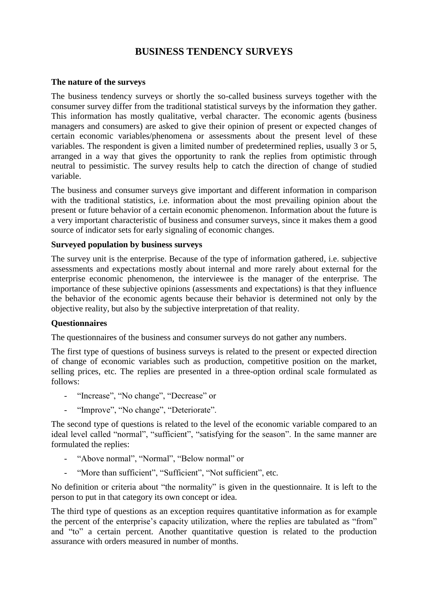# **BUSINESS TENDENCY SURVEYS**

#### **The nature of the surveys**

The business tendency surveys or shortly the so-called business surveys together with the consumer survey differ from the traditional statistical surveys by the information they gather. This information has mostly qualitative, verbal character. The economic agents (business managers and consumers) are asked to give their opinion of present or expected changes of certain economic variables/phenomena or assessments about the present level of these variables. The respondent is given a limited number of predetermined replies, usually 3 or 5, arranged in a way that gives the opportunity to rank the replies from optimistic through neutral to pessimistic. The survey results help to catch the direction of change of studied variable.

The business and consumer surveys give important and different information in comparison with the traditional statistics, i.e. information about the most prevailing opinion about the present or future behavior of a certain economic phenomenon. Information about the future is a very important characteristic of business and consumer surveys, since it makes them a good source of indicator sets for early signaling of economic changes.

#### **Surveyed population by business surveys**

The survey unit is the enterprise. Because of the type of information gathered, i.e. subjective assessments and expectations mostly about internal and more rarely about external for the enterprise economic phenomenon, the interviewee is the manager of the enterprise. The importance of these subjective opinions (assessments and expectations) is that they influence the behavior of the economic agents because their behavior is determined not only by the objective reality, but also by the subjective interpretation of that reality.

#### **Questionnaires**

The questionnaires of the business and consumer surveys do not gather any numbers.

The first type of questions of business surveys is related to the present or expected direction of change of economic variables such as production, competitive position on the market, selling prices, etc. The replies are presented in a three-option ordinal scale formulated as follows:

- "Increase", "No change", "Decrease" or
- "Improve", "No change", "Deteriorate".

The second type of questions is related to the level of the economic variable compared to an ideal level called "normal", "sufficient", "satisfying for the season". In the same manner are formulated the replies:

- "Above normal", "Normal", "Below normal" or
- "More than sufficient", "Sufficient", "Not sufficient", etc.

No definition or criteria about "the normality" is given in the questionnaire. It is left to the person to put in that category its own concept or idea.

The third type of questions as an exception requires quantitative information as for example the percent of the enterprise's capacity utilization, where the replies are tabulated as "from" and "to" a certain percent. Another quantitative question is related to the production assurance with orders measured in number of months.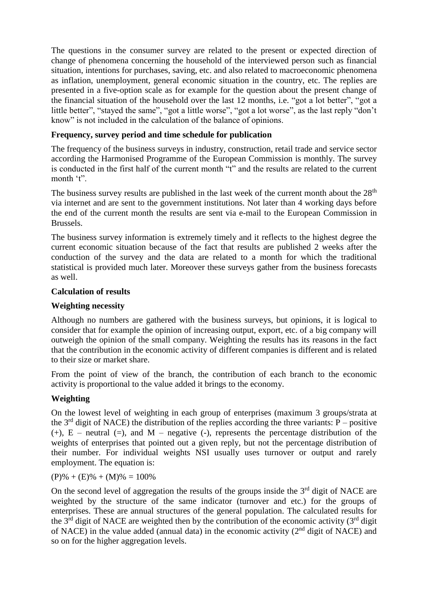The questions in the consumer survey are related to the present or expected direction of change of phenomena concerning the household of the interviewed person such as financial situation, intentions for purchases, saving, etc. and also related to macroeconomic phenomena as inflation, unemployment, general economic situation in the country, etc. The replies are presented in a five-option scale as for example for the question about the present change of the financial situation of the household over the last 12 months, i.e. "got a lot better", "got a little better", "stayed the same", "got a little worse", "got a lot worse", as the last reply "don't know" is not included in the calculation of the balance of opinions.

# **Frequency, survey period and time schedule for publication**

The frequency of the business surveys in industry, construction, retail trade and service sector according the Harmonised Programme of the European Commission is monthly. The survey is conducted in the first half of the current month "t" and the results are related to the current month 't".

The business survey results are published in the last week of the current month about the  $28<sup>th</sup>$ via internet and are sent to the government institutions. Not later than 4 working days before the end of the current month the results are sent via e-mail to the European Commission in Brussels.

The business survey information is extremely timely and it reflects to the highest degree the current economic situation because of the fact that results are published 2 weeks after the conduction of the survey and the data are related to a month for which the traditional statistical is provided much later. Moreover these surveys gather from the business forecasts as well.

#### **Calculation of results**

#### **Weighting necessity**

Although no numbers are gathered with the business surveys, but opinions, it is logical to consider that for example the opinion of increasing output, export, etc. of a big company will outweigh the opinion of the small company. Weighting the results has its reasons in the fact that the contribution in the economic activity of different companies is different and is related to their size or market share.

From the point of view of the branch, the contribution of each branch to the economic activity is proportional to the value added it brings to the economy.

### **Weighting**

On the lowest level of weighting in each group of enterprises (maximum 3 groups/strata at the  $3<sup>rd</sup>$  digit of NACE) the distribution of the replies according the three variants: P – positive  $(+)$ , E – neutral  $(=)$ , and M – negative  $($ - $)$ , represents the percentage distribution of the weights of enterprises that pointed out a given reply, but not the percentage distribution of their number. For individual weights NSI usually uses turnover or output and rarely employment. The equation is:

 $(P)\% + (E)\% + (M)\% = 100\%$ 

On the second level of aggregation the results of the groups inside the  $3<sup>rd</sup>$  digit of NACE are weighted by the structure of the same indicator (turnover and etc.) for the groups of enterprises. These are annual structures of the general population. The calculated results for the  $3<sup>rd</sup>$  digit of NACE are weighted then by the contribution of the economic activity ( $3<sup>rd</sup>$  digit of NACE) in the value added (annual data) in the economic activity  $(2<sup>nd</sup>$  digit of NACE) and so on for the higher aggregation levels.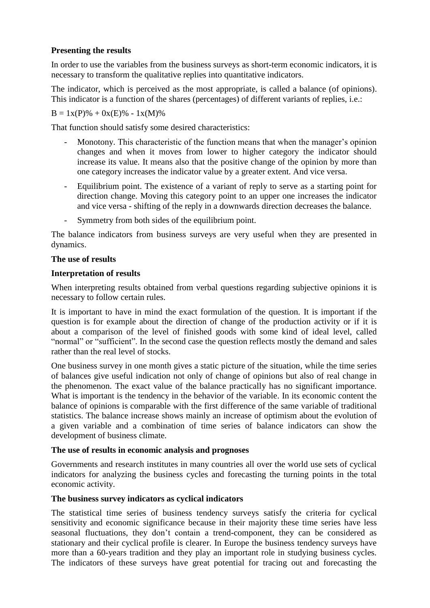# **Presenting the results**

In order to use the variables from the business surveys as short-term economic indicators, it is necessary to transform the qualitative replies into quantitative indicators.

The indicator, which is perceived as the most appropriate, is called a balance (of opinions). This indicator is a function of the shares (percentages) of different variants of replies, i.e.:

 $B = 1x(P)% + 0x(E)% - 1x(M)%$ 

That function should satisfy some desired characteristics:

- Monotony. This characteristic of the function means that when the manager's opinion changes and when it moves from lower to higher category the indicator should increase its value. It means also that the positive change of the opinion by more than one category increases the indicator value by a greater extent. And vice versa.
- Equilibrium point. The existence of a variant of reply to serve as a starting point for direction change. Moving this category point to an upper one increases the indicator and vice versa - shifting of the reply in a downwards direction decreases the balance.
- Symmetry from both sides of the equilibrium point.

The balance indicators from business surveys are very useful when they are presented in dynamics.

### **The use of results**

### **Interpretation of results**

When interpreting results obtained from verbal questions regarding subjective opinions it is necessary to follow certain rules.

It is important to have in mind the exact formulation of the question. It is important if the question is for example about the direction of change of the production activity or if it is about a comparison of the level of finished goods with some kind of ideal level, called "normal" or "sufficient". In the second case the question reflects mostly the demand and sales rather than the real level of stocks.

One business survey in one month gives a static picture of the situation, while the time series of balances give useful indication not only of change of opinions but also of real change in the phenomenon. The exact value of the balance practically has no significant importance. What is important is the tendency in the behavior of the variable. In its economic content the balance of opinions is comparable with the first difference of the same variable of traditional statistics. The balance increase shows mainly an increase of optimism about the evolution of a given variable and a combination of time series of balance indicators can show the development of business climate.

### **The use of results in economic analysis and prognoses**

Governments and research institutes in many countries all over the world use sets of cyclical indicators for analyzing the business cycles and forecasting the turning points in the total economic activity.

### **The business survey indicators as cyclical indicators**

The statistical time series of business tendency surveys satisfy the criteria for cyclical sensitivity and economic significance because in their majority these time series have less seasonal fluctuations, they don't contain a trend-component, they can be considered as stationary and their cyclical profile is clearer. In Europe the business tendency surveys have more than a 60-years tradition and they play an important role in studying business cycles. The indicators of these surveys have great potential for tracing out and forecasting the